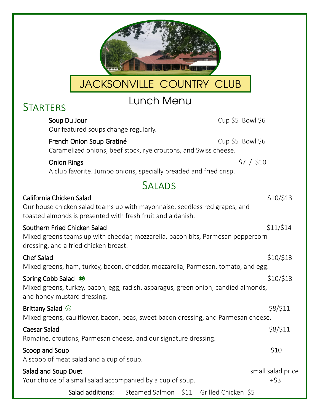| JACKSONVILLE COUNTRY CLUB                                                                                                                                             |                            |
|-----------------------------------------------------------------------------------------------------------------------------------------------------------------------|----------------------------|
| Lunch Menu<br><b>STARTERS</b>                                                                                                                                         |                            |
| Cup $$5$ Bowl $$6$<br>Soup Du Jour<br>Our featured soups change regularly.                                                                                            |                            |
| Cup $$5$ Bowl $$6$<br>French Onion Soup Gratiné<br>Caramelized onions, beef stock, rye croutons, and Swiss cheese.                                                    |                            |
| <b>Onion Rings</b><br>A club favorite. Jumbo onions, specially breaded and fried crisp.                                                                               | \$7 / \$10                 |
| <b>SALADS</b>                                                                                                                                                         |                            |
| California Chicken Salad<br>Our house chicken salad teams up with mayonnaise, seedless red grapes, and<br>toasted almonds is presented with fresh fruit and a danish. | \$10/\$13                  |
| Southern Fried Chicken Salad<br>Mixed greens teams up with cheddar, mozzarella, bacon bits, Parmesan peppercorn<br>dressing, and a fried chicken breast.              | \$11/\$14                  |
| <b>Chef Salad</b><br>Mixed greens, ham, turkey, bacon, cheddar, mozzarella, Parmesan, tomato, and egg.                                                                | \$10/\$13                  |
| Spring Cobb Salad <sup>®</sup><br>Mixed greens, turkey, bacon, egg, radish, asparagus, green onion, candied almonds,<br>and honey mustard dressing.                   | \$10/\$13                  |
| Brittany Salad <sup>®</sup><br>Mixed greens, cauliflower, bacon, peas, sweet bacon dressing, and Parmesan cheese.                                                     | \$8/\$11                   |
| <b>Caesar Salad</b><br>Romaine, croutons, Parmesan cheese, and our signature dressing.                                                                                | \$8/\$11                   |
| Scoop and Soup<br>A scoop of meat salad and a cup of soup.                                                                                                            | \$10                       |
| Salad and Soup Duet<br>Your choice of a small salad accompanied by a cup of soup.                                                                                     | small salad price<br>$+53$ |
| Salad additions:<br>Steamed Salmon \$11 Grilled Chicken \$5                                                                                                           |                            |